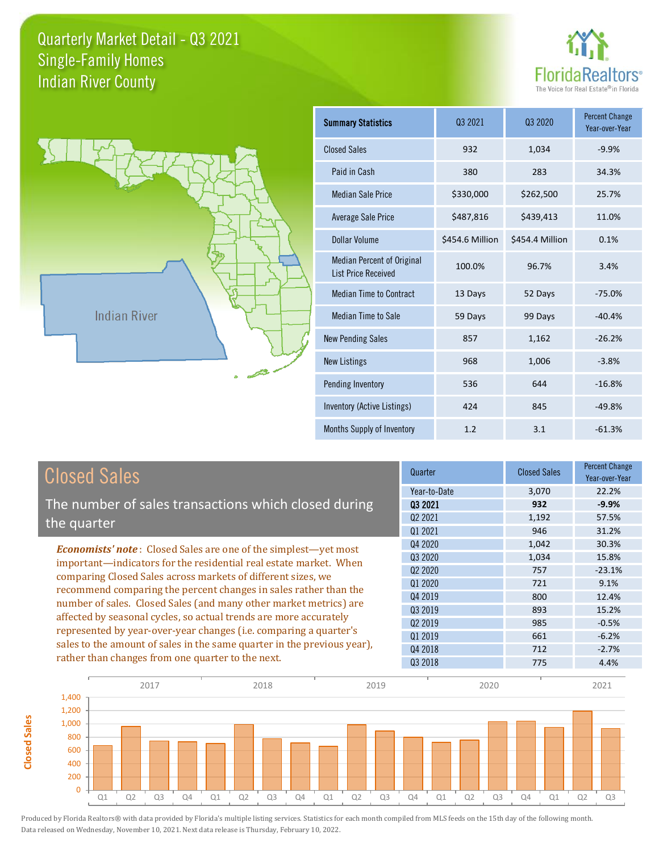**Closed Sales**

**Closed Sales** 





| <b>Summary Statistics</b>                                       | 03 2021         | 03 2020         | <b>Percent Change</b><br>Year-over-Year |
|-----------------------------------------------------------------|-----------------|-----------------|-----------------------------------------|
| <b>Closed Sales</b>                                             | 932             | 1,034           | $-9.9%$                                 |
| Paid in Cash                                                    | 380             | 283             | 34.3%                                   |
| <b>Median Sale Price</b>                                        | \$330,000       | \$262,500       | 25.7%                                   |
| Average Sale Price                                              | \$487,816       | \$439,413       | 11.0%                                   |
| Dollar Volume                                                   | \$454.6 Million | \$454.4 Million | 0.1%                                    |
| <b>Median Percent of Original</b><br><b>List Price Received</b> | 100.0%          | 96.7%           | 3.4%                                    |
| <b>Median Time to Contract</b>                                  | 13 Days         | 52 Days         | $-75.0%$                                |
| Median Time to Sale                                             | 59 Days         | 99 Days         | $-40.4%$                                |
| <b>New Pending Sales</b>                                        | 857             | 1,162           | $-26.2%$                                |
| <b>New Listings</b>                                             | 968             | 1,006           | $-3.8%$                                 |
| Pending Inventory                                               | 536             | 644             | $-16.8%$                                |
| Inventory (Active Listings)                                     | 424             | 845             | $-49.8%$                                |
| Months Supply of Inventory                                      | 1.2             | 3.1             | $-61.3%$                                |

| <b>Closed Sales</b>                                                     | Quarter                         | <b>Closed Sales</b> | <b>Percent Change</b><br>Year-over-Year |
|-------------------------------------------------------------------------|---------------------------------|---------------------|-----------------------------------------|
|                                                                         | Year-to-Date                    | 3,070               | 22.2%                                   |
| The number of sales transactions which closed during                    | 03 2021                         | 932                 | $-9.9%$                                 |
| the quarter                                                             | Q <sub>2</sub> 20 <sub>21</sub> | 1,192               | 57.5%                                   |
|                                                                         | Q1 2021                         | 946                 | 31.2%                                   |
| <b>Economists' note:</b> Closed Sales are one of the simplest—yet most  | Q4 2020                         | 1,042               | 30.3%                                   |
| important—indicators for the residential real estate market. When       | 03 2020                         | 1,034               | 15.8%                                   |
| comparing Closed Sales across markets of different sizes, we            | Q <sub>2</sub> 2020             | 757                 | $-23.1%$                                |
| recommend comparing the percent changes in sales rather than the        | 01 2020                         | 721                 | 9.1%                                    |
| number of sales. Closed Sales (and many other market metrics) are       | Q4 2019                         | 800                 | 12.4%                                   |
|                                                                         | Q3 2019                         | 893                 | 15.2%                                   |
| affected by seasonal cycles, so actual trends are more accurately       | Q <sub>2</sub> 2019             | 985                 | $-0.5%$                                 |
| represented by year-over-year changes (i.e. comparing a quarter's       | 01 2019                         | 661                 | $-6.2%$                                 |
| sales to the amount of sales in the same quarter in the previous year), | Q4 2018                         | 712                 | $-2.7%$                                 |
| rather than changes from one quarter to the next.                       | Q3 2018                         | 775                 | 4.4%                                    |

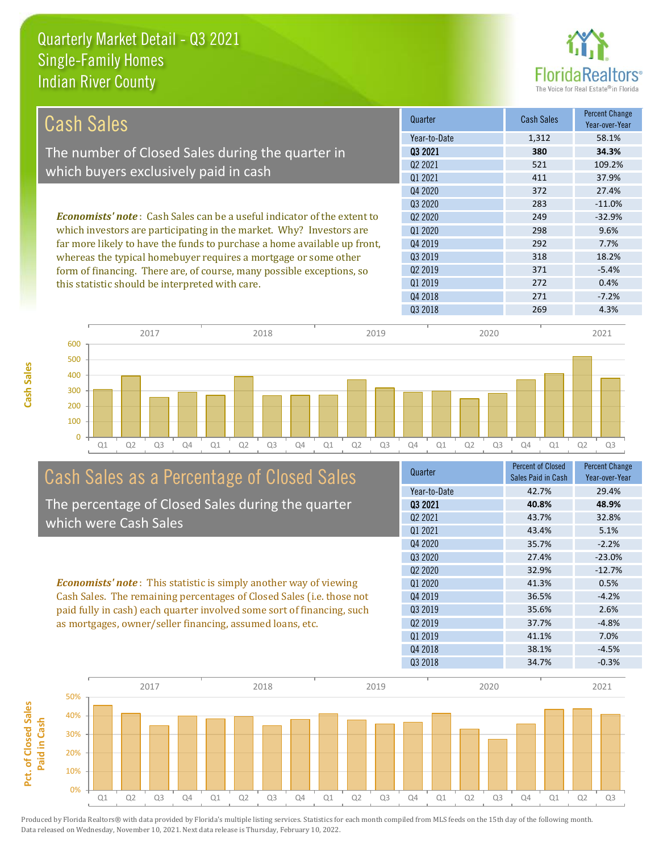

| Cash Sales                                                                     | Quarter             | <b>Cash Sales</b> | <b>Percent Change</b><br>Year-over-Year |
|--------------------------------------------------------------------------------|---------------------|-------------------|-----------------------------------------|
|                                                                                | Year-to-Date        | 1,312             | 58.1%                                   |
| The number of Closed Sales during the quarter in                               | 03 2021             | 380               | 34.3%                                   |
|                                                                                | 02 2021             | 521               | 109.2%                                  |
| which buyers exclusively paid in cash                                          | 01 2021             | 411               | 37.9%                                   |
|                                                                                | Q4 2020             | 372               | 27.4%                                   |
|                                                                                | 03 20 20            | 283               | $-11.0%$                                |
| <b>Economists' note:</b> Cash Sales can be a useful indicator of the extent to | 02 2020             | 249               | $-32.9%$                                |
| which investors are participating in the market. Why? Investors are            | 01 2020             | 298               | 9.6%                                    |
| far more likely to have the funds to purchase a home available up front,       | Q4 2019             | 292               | 7.7%                                    |
| whereas the typical homebuyer requires a mortgage or some other                | 03 2019             | 318               | 18.2%                                   |
| form of financing. There are, of course, many possible exceptions, so          | Q <sub>2</sub> 2019 | 371               | $-5.4%$                                 |
| this statistic should be interpreted with care.                                | 01 2019             | 272               | 0.4%                                    |
|                                                                                | Q4 2018             | 271               | $-7.2%$                                 |



# Cash Sales as a Percentage of Closed Sales

The percentage of Closed Sales during the quarter which were Cash Sales

*Economists' note* : This statistic is simply another way of viewing Cash Sales. The remaining percentages of Closed Sales (i.e. those not paid fully in cash) each quarter involved some sort of financing, such as mortgages, owner/seller financing, assumed loans, etc.

| Quarter             | <b>Percent of Closed</b><br>Sales Paid in Cash | <b>Percent Change</b><br>Year-over-Year |
|---------------------|------------------------------------------------|-----------------------------------------|
| Year-to-Date        | 42.7%                                          | 29.4%                                   |
| 03 2021             | 40.8%                                          | 48.9%                                   |
| Q2 2021             | 43.7%                                          | 32.8%                                   |
| 01 2021             | 43.4%                                          | 5.1%                                    |
| Q4 2020             | 35.7%                                          | $-2.2%$                                 |
| Q3 2020             | 27.4%                                          | $-23.0%$                                |
| Q2 2020             | 32.9%                                          | $-12.7%$                                |
| 01 2020             | 41.3%                                          | 0.5%                                    |
| Q4 2019             | 36.5%                                          | $-4.2%$                                 |
| Q3 2019             | 35.6%                                          | 2.6%                                    |
| Q <sub>2</sub> 2019 | 37.7%                                          | $-4.8%$                                 |
| 01 2019             | 41.1%                                          | 7.0%                                    |
| Q4 2018             | 38.1%                                          | $-4.5%$                                 |
| Q3 2018             | 34.7%                                          | $-0.3%$                                 |
|                     |                                                |                                         |

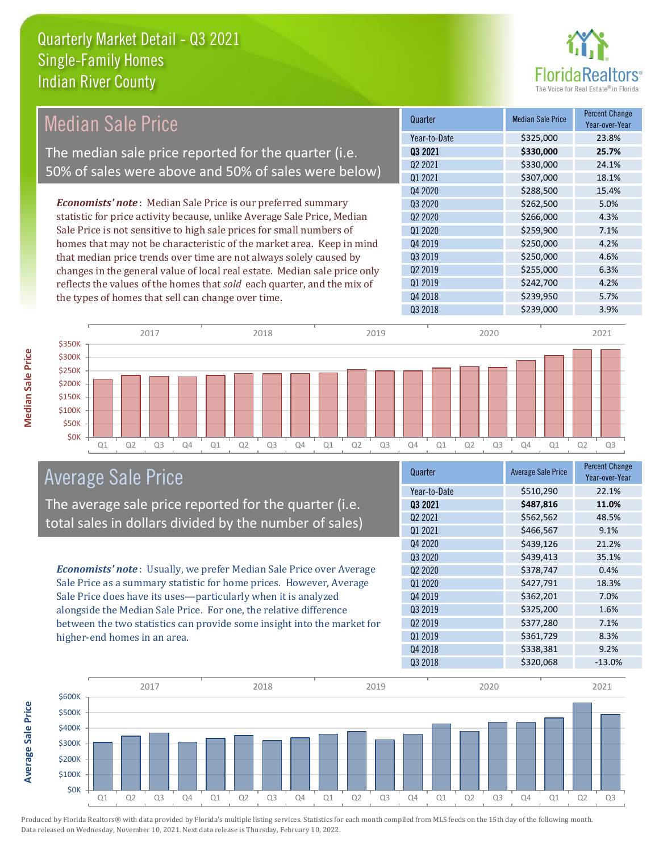

| <b>Median Sale Price</b>                                                  | Quarter                         | <b>Median Sale Price</b> | Percent Change<br>Year-over-Year |
|---------------------------------------------------------------------------|---------------------------------|--------------------------|----------------------------------|
|                                                                           | Year-to-Date                    | \$325,000                | 23.8%                            |
| The median sale price reported for the quarter (i.e.                      | 03 2021                         | \$330,000                | 25.7%                            |
| 50% of sales were above and 50% of sales were below)                      | Q <sub>2</sub> 2021             | \$330,000                | 24.1%                            |
|                                                                           | Q1 2021                         | \$307,000                | 18.1%                            |
|                                                                           | Q4 2020                         | \$288,500                | 15.4%                            |
| <b>Economists' note</b> : Median Sale Price is our preferred summary      | Q3 2020                         | \$262,500                | 5.0%                             |
| statistic for price activity because, unlike Average Sale Price, Median   | Q <sub>2</sub> 20 <sub>20</sub> | \$266,000                | 4.3%                             |
| Sale Price is not sensitive to high sale prices for small numbers of      | Q1 2020                         | \$259,900                | 7.1%                             |
| homes that may not be characteristic of the market area. Keep in mind     | Q4 2019                         | \$250,000                | 4.2%                             |
| that median price trends over time are not always solely caused by        | Q3 2019                         | \$250,000                | 4.6%                             |
| changes in the general value of local real estate. Median sale price only | Q <sub>2</sub> 2019             | \$255,000                | 6.3%                             |
| reflects the values of the homes that sold each quarter, and the mix of   | Q1 2019                         | \$242,700                | 4.2%                             |
| the types of homes that sell can change over time.                        | Q4 2018                         | \$239,950                | 5.7%                             |
|                                                                           | Q3 2018                         | \$239,000                | 3.9%                             |
|                                                                           |                                 |                          |                                  |
| 2017<br>2018<br>2019                                                      | 2020                            |                          | 2021                             |
| \$350K                                                                    |                                 |                          |                                  |
| \$300K                                                                    |                                 |                          |                                  |
| \$250K                                                                    |                                 |                          |                                  |

Q1 Q2 Q3 Q4 Q1 Q2 Q3 Q4 Q1 Q2 Q3 Q4 Q1 Q2 Q3 Q4 Q1 Q2 Q3



The average sale price reported for the quarter (i.e. total sales in dollars divided by the number of sales)

*Economists' note* : Usually, we prefer Median Sale Price over Average Sale Price as a summary statistic for home prices. However, Average Sale Price does have its uses—particularly when it is analyzed alongside the Median Sale Price. For one, the relative difference between the two statistics can provide some insight into the market for higher-end homes in an area.

| Quarter                         | <b>Average Sale Price</b> | <b>Percent Change</b><br>Year-over-Year |
|---------------------------------|---------------------------|-----------------------------------------|
| Year-to-Date                    | \$510,290                 | 22.1%                                   |
| 03 2021                         | \$487,816                 | 11.0%                                   |
| Q2 2021                         | \$562,562                 | 48.5%                                   |
| Q1 2021                         | \$466,567                 | 9.1%                                    |
| Q4 2020                         | \$439,126                 | 21.2%                                   |
| Q3 2020                         | \$439,413                 | 35.1%                                   |
| Q <sub>2</sub> 20 <sub>20</sub> | \$378,747                 | 0.4%                                    |
| Q1 2020                         | \$427,791                 | 18.3%                                   |
| Q4 2019                         | \$362,201                 | 7.0%                                    |
| Q3 2019                         | \$325,200                 | 1.6%                                    |
| Q <sub>2</sub> 2019             | \$377,280                 | 7.1%                                    |
| Q1 2019                         | \$361,729                 | 8.3%                                    |
| Q4 2018                         | \$338,381                 | 9.2%                                    |
| Q3 2018                         | \$320,068                 | $-13.0%$                                |



**Median Sale Price**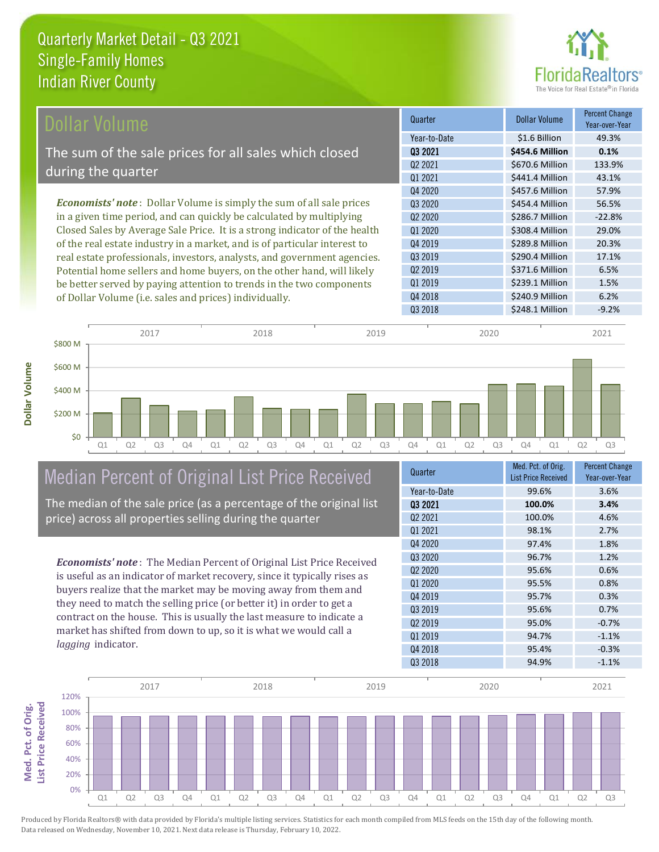

| Dollar Volume                                                                | Quarter             | <b>Dollar Volume</b> | <b>Percent Change</b><br>Year-over-Year |
|------------------------------------------------------------------------------|---------------------|----------------------|-----------------------------------------|
|                                                                              | Year-to-Date        | \$1.6 Billion        | 49.3%                                   |
| The sum of the sale prices for all sales which closed                        | 03 2021             | \$454.6 Million      | 0.1%                                    |
|                                                                              | Q <sub>2</sub> 2021 | \$670.6 Million      | 133.9%                                  |
| during the quarter                                                           | 01 2021             | \$441.4 Million      | 43.1%                                   |
|                                                                              | Q4 2020             | \$457.6 Million      | 57.9%                                   |
| <b>Economists' note</b> : Dollar Volume is simply the sum of all sale prices | Q3 2020             | \$454.4 Million      | 56.5%                                   |
| in a given time period, and can quickly be calculated by multiplying         | Q <sub>2</sub> 2020 | \$286.7 Million      | $-22.8%$                                |
| Closed Sales by Average Sale Price. It is a strong indicator of the health   | Q1 2020             | \$308.4 Million      | 29.0%                                   |
| of the real estate industry in a market, and is of particular interest to    | Q4 2019             | \$289.8 Million      | 20.3%                                   |
| real estate professionals, investors, analysts, and government agencies.     | Q3 2019             | \$290.4 Million      | 17.1%                                   |
| Potential home sellers and home buyers, on the other hand, will likely       | Q <sub>2</sub> 2019 | \$371.6 Million      | 6.5%                                    |
| be better served by paying attention to trends in the two components         | Q1 2019             | \$239.1 Million      | 1.5%                                    |



### Median Percent of Original List Price Received

of Dollar Volume (i.e. sales and prices) individually.

The median of the sale price (as a percentage of the original list price) across all properties selling during the quarter

*Economists' note* : The Median Percent of Original List Price Received is useful as an indicator of market recovery, since it typically rises as buyers realize that the market may be moving away from them and they need to match the selling price (or better it) in order to get a contract on the house. This is usually the last measure to indicate a market has shifted from down to up, so it is what we would call a *lagging* indicator.

| Quarter             | Med. Pct. of Orig.<br><b>List Price Received</b> | <b>Percent Change</b><br>Year-over-Year |
|---------------------|--------------------------------------------------|-----------------------------------------|
|                     |                                                  |                                         |
| Year-to-Date        | 99.6%                                            | 3.6%                                    |
| 03 2021             | 100.0%                                           | 3.4%                                    |
| Q <sub>2</sub> 2021 | 100.0%                                           | 4.6%                                    |
| 01 2021             | 98.1%                                            | 2.7%                                    |
| Q4 2020             | 97.4%                                            | 1.8%                                    |
| Q3 2020             | 96.7%                                            | 1.2%                                    |
| 02 2020             | 95.6%                                            | 0.6%                                    |
| Q1 2020             | 95.5%                                            | 0.8%                                    |
| Q4 2019             | 95.7%                                            | 0.3%                                    |
| Q3 2019             | 95.6%                                            | 0.7%                                    |
| Q <sub>2</sub> 2019 | 95.0%                                            | $-0.7%$                                 |
| 01 2019             | 94.7%                                            | $-1.1%$                                 |
| Q4 2018             | 95.4%                                            | $-0.3%$                                 |
| Q3 2018             | 94.9%                                            | $-1.1%$                                 |
|                     |                                                  |                                         |

Q4 2018 \$240.9 Million 6.2%



Produced by Florida Realtors® with data provided by Florida's multiple listing services. Statistics for each month compiled from MLS feeds on the 15th day of the following month. Data released on Wednesday, November 10, 2021. Next data release is Thursday, February 10, 2022.

**Med. Pct. of Orig.** 

Med. Pct. of Orig.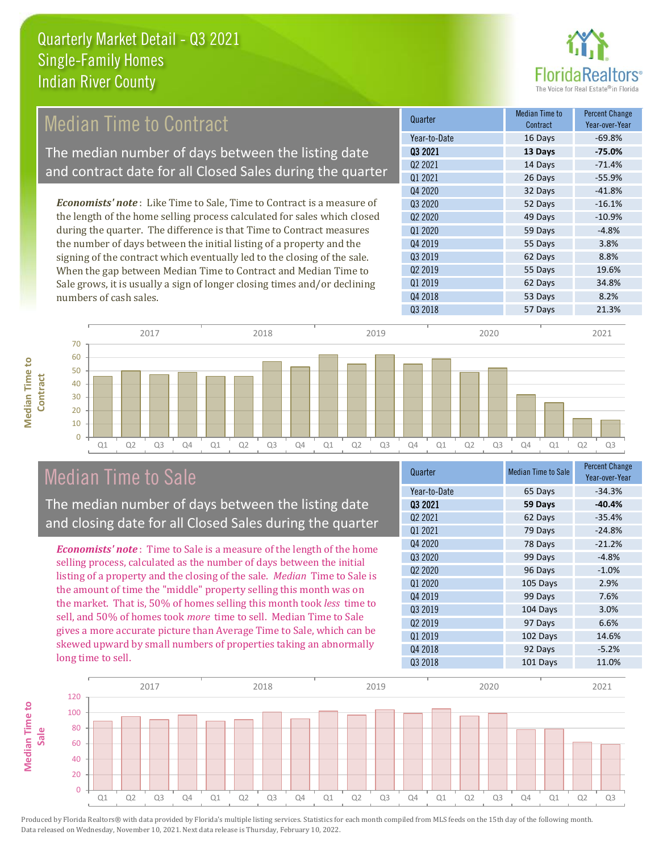

## Median Time to Contract

The median number of days between the listing date and contract date for all Closed Sales during the quarter

*Economists' note* : Like Time to Sale, Time to Contract is a measure of the length of the home selling process calculated for sales which closed during the quarter. The difference is that Time to Contract measures the number of days between the initial listing of a property and the signing of the contract which eventually led to the closing of the sale. When the gap between Median Time to Contract and Median Time to Sale grows, it is usually a sign of longer closing times and/or declining numbers of cash sales.

| Quarter                         | Median Time to<br>Contract | Percent Change<br>Year-over-Year |
|---------------------------------|----------------------------|----------------------------------|
| Year-to-Date                    | 16 Days                    | $-69.8%$                         |
| 03 2021                         | 13 Days                    | $-75.0%$                         |
| Q2 2021                         | 14 Days                    | $-71.4%$                         |
| Q1 2021                         | 26 Days                    | $-55.9%$                         |
| Q4 2020                         | 32 Days                    | $-41.8%$                         |
| Q3 2020                         | 52 Days                    | $-16.1%$                         |
| Q <sub>2</sub> 20 <sub>20</sub> | 49 Days                    | $-10.9%$                         |
| Q1 2020                         | 59 Days                    | $-4.8%$                          |
| Q4 2019                         | 55 Days                    | 3.8%                             |
| Q3 2019                         | 62 Days                    | 8.8%                             |
| Q <sub>2</sub> 2019             | 55 Days                    | 19.6%                            |
| Q1 2019                         | 62 Days                    | 34.8%                            |
| Q4 2018                         | 53 Days                    | 8.2%                             |
| Q3 2018                         | 57 Days                    | 21.3%                            |



### Median Time to Sale

**Median Time to** 

**Median Time to** 

The median number of days between the listing date and closing date for all Closed Sales during the quarter

*Economists' note* : Time to Sale is a measure of the length of the home selling process, calculated as the number of days between the initial listing of a property and the closing of the sale. *Median* Time to Sale is the amount of time the "middle" property selling this month was on the market. That is, 50% of homes selling this month took *less* time to sell, and 50% of homes took *more* time to sell. Median Time to Sale gives a more accurate picture than Average Time to Sale, which can be skewed upward by small numbers of properties taking an abnormally long time to sell.

| Quarter                         | <b>Median Time to Sale</b> | Percent Change<br>Year-over-Year |
|---------------------------------|----------------------------|----------------------------------|
| Year-to-Date                    | 65 Days                    | $-34.3%$                         |
| 03 2021                         | 59 Days                    | $-40.4%$                         |
| Q2 2021                         | 62 Days                    | $-35.4%$                         |
| Q1 2021                         | 79 Days                    | $-24.8%$                         |
| Q4 2020                         | 78 Days                    | $-21.2%$                         |
| 03 2020                         | 99 Days                    | $-4.8%$                          |
| Q <sub>2</sub> 20 <sub>20</sub> | 96 Days                    | $-1.0%$                          |
| Q1 2020                         | 105 Days                   | 2.9%                             |
| Q4 2019                         | 99 Days                    | 7.6%                             |
| Q3 2019                         | 104 Days                   | 3.0%                             |
| Q <sub>2</sub> 2019             | 97 Days                    | 6.6%                             |
| Q1 2019                         | 102 Days                   | 14.6%                            |
| Q4 2018                         | 92 Days                    | $-5.2%$                          |
| Q3 2018                         | 101 Days                   | 11.0%                            |
|                                 |                            |                                  |

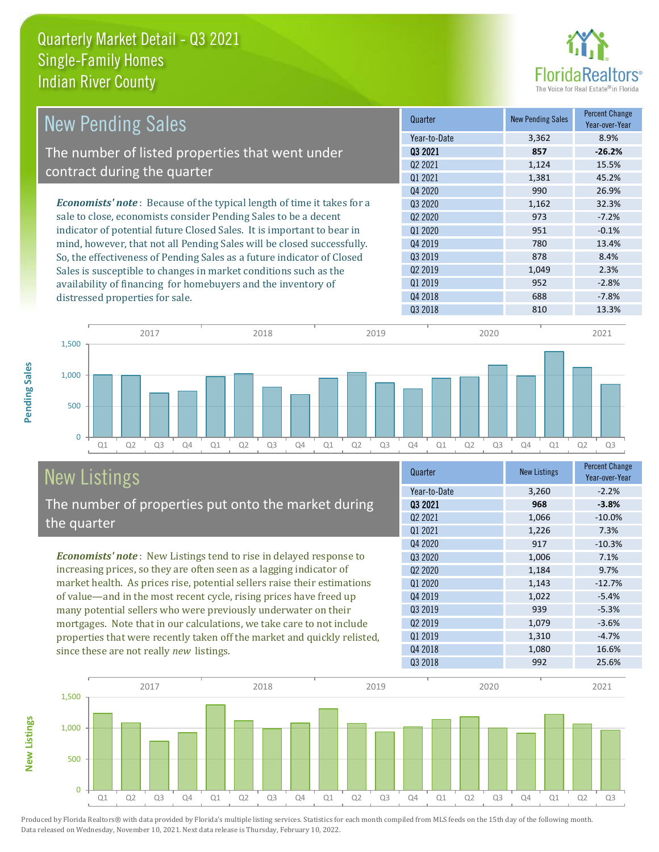

| <b>New Pending Sales</b>                                                      | Quarter             | <b>New Pending Sales</b> | <b>Percent Change</b><br>Year-over-Year |
|-------------------------------------------------------------------------------|---------------------|--------------------------|-----------------------------------------|
|                                                                               | Year-to-Date        | 3,362                    | 8.9%                                    |
| The number of listed properties that went under                               | 03 2021             | 857                      | $-26.2%$                                |
| contract during the quarter                                                   | Q <sub>2</sub> 2021 | 1,124                    | 15.5%                                   |
|                                                                               | 01 2021             | 1,381                    | 45.2%                                   |
|                                                                               | Q4 2020             | 990                      | 26.9%                                   |
| <b>Economists' note:</b> Because of the typical length of time it takes for a | 03 20 20            | 1,162                    | 32.3%                                   |
| sale to close, economists consider Pending Sales to be a decent               | 02 2020             | 973                      | $-7.2%$                                 |
| indicator of potential future Closed Sales. It is important to bear in        | Q1 2020             | 951                      | $-0.1%$                                 |
| mind, however, that not all Pending Sales will be closed successfully.        | Q4 2019             | 780                      | 13.4%                                   |
| So, the effectiveness of Pending Sales as a future indicator of Closed        | 03 2019             | 878                      | 8.4%                                    |
| Sales is susceptible to changes in market conditions such as the              | Q <sub>2</sub> 2019 | 1,049                    | 2.3%                                    |
| availability of financing for homebuyers and the inventory of                 | Q1 2019             | 952                      | $-2.8%$                                 |
| distressed properties for sale.                                               | Q4 2018             | 688                      | $-7.8%$                                 |
|                                                                               | 03 2018             | 810                      | 13.3%                                   |



# New Listings

The number of properties put onto the market during the quarter

*Economists' note* : New Listings tend to rise in delayed response to increasing prices, so they are often seen as a lagging indicator of market health. As prices rise, potential sellers raise their estimations of value—and in the most recent cycle, rising prices have freed up many potential sellers who were previously underwater on their mortgages. Note that in our calculations, we take care to not include properties that were recently taken off the market and quickly relisted, since these are not really *new* listings.

| Quarter                         | <b>New Listings</b> | <b>Percent Change</b><br>Year-over-Year |
|---------------------------------|---------------------|-----------------------------------------|
| Year-to-Date                    | 3,260               | $-2.2%$                                 |
| 03 2021                         | 968                 | $-3.8%$                                 |
| Q <sub>2</sub> 2021             | 1,066               | $-10.0%$                                |
| Q1 2021                         | 1,226               | 7.3%                                    |
| Q4 2020                         | 917                 | $-10.3%$                                |
| Q3 2020                         | 1,006               | 7.1%                                    |
| Q <sub>2</sub> 20 <sub>20</sub> | 1,184               | 9.7%                                    |
| Q1 2020                         | 1,143               | $-12.7%$                                |
| Q4 2019                         | 1,022               | $-5.4%$                                 |
| Q3 2019                         | 939                 | $-5.3%$                                 |
| Q <sub>2</sub> 2019             | 1,079               | $-3.6%$                                 |
| Q1 2019                         | 1,310               | $-4.7%$                                 |
| Q4 2018                         | 1,080               | 16.6%                                   |
| Q3 2018                         | 992                 | 25.6%                                   |



Produced by Florida Realtors® with data provided by Florida's multiple listing services. Statistics for each month compiled from MLS feeds on the 15th day of the following month. Data released on Wednesday, November 10, 2021. Next data release is Thursday, February 10, 2022.

**New Listings**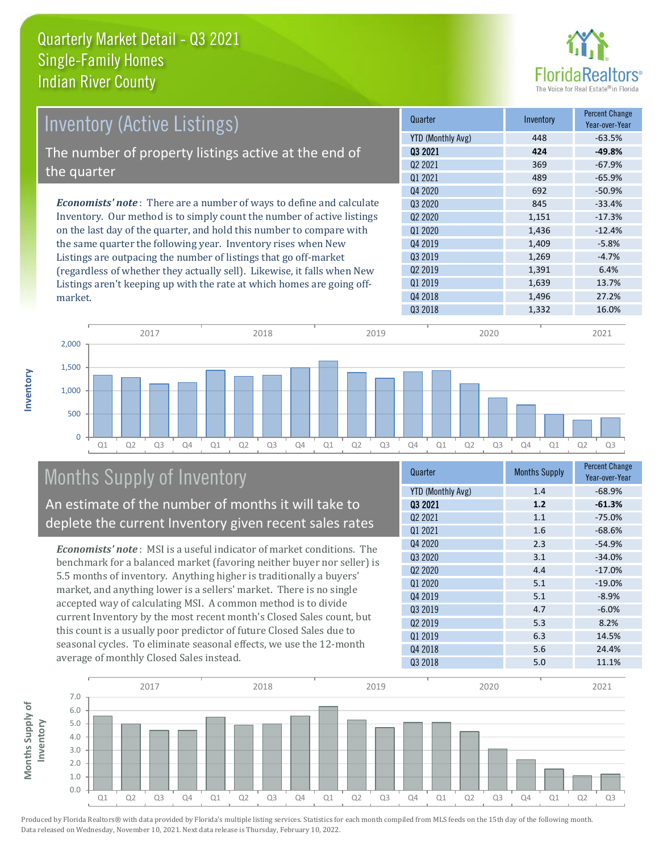

| Inventory (Active Listings)                                                  | Quarter             | Inventory | <b>Percent Change</b><br>Year-over-Year |
|------------------------------------------------------------------------------|---------------------|-----------|-----------------------------------------|
|                                                                              | YTD (Monthly Avg)   | 448       | $-63.5%$                                |
| The number of property listings active at the end of                         | 03 2021             | 424       | $-49.8%$                                |
|                                                                              | Q <sub>2</sub> 2021 | 369       | $-67.9%$                                |
| the quarter                                                                  | 01 2021             | 489       | $-65.9%$                                |
|                                                                              | Q4 2020             | 692       | $-50.9%$                                |
| <b>Economists' note</b> : There are a number of ways to define and calculate | 03 20 20            | 845       | $-33.4%$                                |
| Inventory. Our method is to simply count the number of active listings       | 02 2020             | 1,151     | $-17.3%$                                |
| on the last day of the quarter, and hold this number to compare with         | Q1 2020             | 1,436     | $-12.4%$                                |
| the same quarter the following year. Inventory rises when New                | Q4 2019             | 1,409     | $-5.8%$                                 |
| Listings are outpacing the number of listings that go off-market             | 03 2019             | 1,269     | $-4.7%$                                 |
| (regardless of whether they actually sell). Likewise, it falls when New      | Q <sub>2</sub> 2019 | 1,391     | 6.4%                                    |
| Listings aren't keeping up with the rate at which homes are going off-       | 01 2019             | 1,639     | 13.7%                                   |

Q1 Q2 Q3 Q4 Q1 Q2 Q3 Q4 Q1 Q2 Q3 Q4 Q1 Q2 Q3 Q4 Q1 Q2 Q3  $\Omega$ 500 1,000 1,500 2,000 2017 2018 2019 2020 2021

# Months Supply of Inventory

An estimate of the number of months it will take to deplete the current Inventory given recent sales rates

*Economists' note* : MSI is a useful indicator of market conditions. The benchmark for a balanced market (favoring neither buyer nor seller) is 5.5 months of inventory. Anything higher is traditionally a buyers' market, and anything lower is a sellers' market. There is no single accepted way of calculating MSI. A common method is to divide current Inventory by the most recent month's Closed Sales count, but this count is a usually poor predictor of future Closed Sales due to seasonal cycles. To eliminate seasonal effects, we use the 12-month average of monthly Closed Sales instead.

| Quarter                         | <b>Months Supply</b> | <b>Percent Change</b><br>Year-over-Year |
|---------------------------------|----------------------|-----------------------------------------|
| <b>YTD (Monthly Avg)</b>        | 1.4                  | $-68.9%$                                |
| 03 2021                         | 1.2                  | $-61.3%$                                |
| Q2 2021                         | 1.1                  | $-75.0%$                                |
| Q1 2021                         | 1.6                  | $-68.6%$                                |
| Q4 2020                         | 2.3                  | $-54.9%$                                |
| Q3 2020                         | 3.1                  | $-34.0%$                                |
| Q <sub>2</sub> 20 <sub>20</sub> | 4.4                  | $-17.0%$                                |
| Q1 2020                         | 5.1                  | $-19.0%$                                |
| Q4 2019                         | 5.1                  | $-8.9%$                                 |
| 03 2019                         | 4.7                  | $-6.0%$                                 |
| 02 2019                         | 5.3                  | 8.2%                                    |
| Q1 2019                         | 6.3                  | 14.5%                                   |
| Q4 2018                         | 5.6                  | 24.4%                                   |
| Q3 2018                         | 5.0                  | 11.1%                                   |

Q3 2018 1,332 16.0%

Q4 2018 27.2%



Produced by Florida Realtors® with data provided by Florida's multiple listing services. Statistics for each month compiled from MLS feeds on the 15th day of the following month. Data released on Wednesday, November 10, 2021. Next data release is Thursday, February 10, 2022.

market.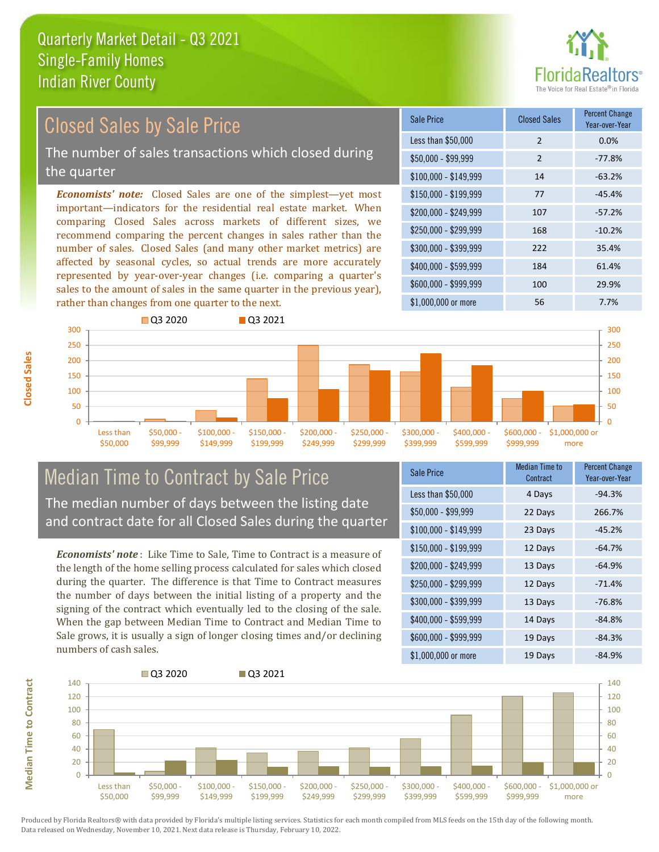

# Closed Sales by Sale Price

The number of sales transactions which closed during the quarter

*Economists' note:* Closed Sales are one of the simplest—yet most important—indicators for the residential real estate market. When comparing Closed Sales across markets of different sizes, we recommend comparing the percent changes in sales rather than the number of sales. Closed Sales (and many other market metrics) are affected by seasonal cycles, so actual trends are more accurately represented by year-over-year changes (i.e. comparing a quarter's sales to the amount of sales in the same quarter in the previous year), rather than changes from one quarter to the next.

| Sale Price            | <b>Closed Sales</b> | <b>Percent Change</b><br>Year-over-Year |
|-----------------------|---------------------|-----------------------------------------|
| Less than \$50,000    | $\overline{2}$      | 0.0%                                    |
| \$50,000 - \$99,999   | $\mathcal{P}$       | $-77.8%$                                |
| $$100,000 - $149,999$ | 14                  | $-63.2%$                                |
| \$150,000 - \$199,999 | 77                  | $-45.4%$                                |
| \$200,000 - \$249,999 | 107                 | $-57.2%$                                |
| \$250,000 - \$299,999 | 168                 | $-10.2%$                                |
| \$300,000 - \$399,999 | 222                 | 35.4%                                   |
| \$400,000 - \$599,999 | 184                 | 61.4%                                   |
| \$600,000 - \$999,999 | 100                 | 29.9%                                   |
| \$1,000,000 or more   | 56                  | 7.7%                                    |



#### Median Time to Contract by Sale Price The median number of days between the listing date and contract date for all Closed Sales during the quarter

*Economists' note* : Like Time to Sale, Time to Contract is a measure of the length of the home selling process calculated for sales which closed during the quarter. The difference is that Time to Contract measures the number of days between the initial listing of a property and the signing of the contract which eventually led to the closing of the sale. When the gap between Median Time to Contract and Median Time to Sale grows, it is usually a sign of longer closing times and/or declining numbers of cash sales.

| Sale Price            | <b>Median Time to</b><br>Contract | <b>Percent Change</b><br>Year-over-Year |
|-----------------------|-----------------------------------|-----------------------------------------|
| Less than \$50,000    | 4 Days                            | $-94.3%$                                |
| \$50,000 - \$99,999   | 22 Days                           | 266.7%                                  |
| $$100,000 - $149,999$ | 23 Days                           | $-45.2%$                                |
| $$150,000 - $199,999$ | 12 Days                           | $-64.7%$                                |
| \$200,000 - \$249,999 | 13 Days                           | $-64.9%$                                |
| \$250,000 - \$299,999 | 12 Days                           | $-71.4%$                                |
| \$300,000 - \$399,999 | 13 Days                           | $-76.8%$                                |
| \$400,000 - \$599,999 | 14 Days                           | $-84.8%$                                |
| \$600,000 - \$999,999 | 19 Days                           | $-84.3%$                                |
| \$1,000,000 or more   | 19 Days                           | $-84.9%$                                |



Produced by Florida Realtors® with data provided by Florida's multiple listing services. Statistics for each month compiled from MLS feeds on the 15th day of the following month. Data released on Wednesday, November 10, 2021. Next data release is Thursday, February 10, 2022.

**Median Time to Contract**

**Median Time to Contract**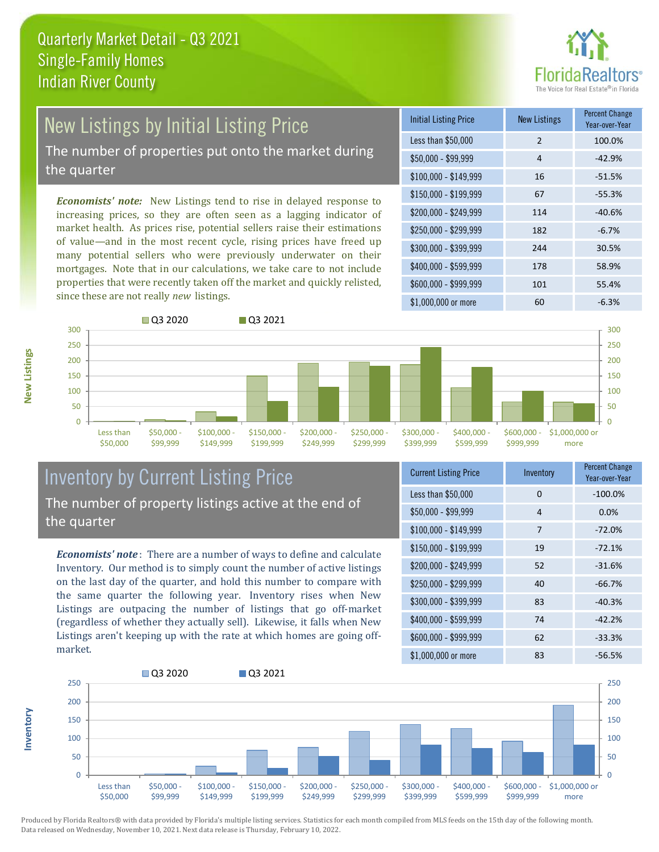

# New Listings by Initial Listing Price

The number of properties put onto the market during the quarter

*Economists' note:* New Listings tend to rise in delayed response to increasing prices, so they are often seen as a lagging indicator of market health. As prices rise, potential sellers raise their estimations of value—and in the most recent cycle, rising prices have freed up many potential sellers who were previously underwater on their mortgages. Note that in our calculations, we take care to not include properties that were recently taken off the market and quickly relisted, since these are not really *new* listings.

| <b>Initial Listing Price</b> | <b>New Listings</b> | <b>Percent Change</b><br>Year-over-Year |
|------------------------------|---------------------|-----------------------------------------|
| Less than \$50,000           | $\overline{2}$      | 100.0%                                  |
| \$50,000 - \$99,999          | 4                   | $-42.9%$                                |
| $$100,000 - $149,999$        | 16                  | $-51.5%$                                |
| $$150,000 - $199,999$        | 67                  | $-55.3%$                                |
| \$200,000 - \$249,999        | 114                 | $-40.6%$                                |
| \$250,000 - \$299,999        | 182                 | $-6.7%$                                 |
| \$300,000 - \$399,999        | 244                 | 30.5%                                   |
| \$400,000 - \$599,999        | 178                 | 58.9%                                   |
| \$600,000 - \$999,999        | 101                 | 55.4%                                   |
| \$1,000,000 or more          | 60                  | $-6.3%$                                 |



### Inventory by Current Listing Price The number of property listings active at the end of the quarter

*Economists' note* : There are a number of ways to define and calculate Inventory. Our method is to simply count the number of active listings on the last day of the quarter, and hold this number to compare with the same quarter the following year. Inventory rises when New Listings are outpacing the number of listings that go off-market (regardless of whether they actually sell). Likewise, it falls when New Listings aren't keeping up with the rate at which homes are going offmarket.

| <b>Current Listing Price</b> | Inventory | <b>Percent Change</b><br>Year-over-Year |
|------------------------------|-----------|-----------------------------------------|
| Less than \$50,000           | 0         | $-100.0%$                               |
| $$50,000 - $99,999$          | 4         | 0.0%                                    |
| $$100,000 - $149,999$        | 7         | $-72.0%$                                |
| $$150,000 - $199,999$        | 19        | $-72.1%$                                |
| \$200,000 - \$249,999        | 52        | $-31.6%$                                |
| \$250,000 - \$299,999        | 40        | $-66.7%$                                |
| \$300,000 - \$399,999        | 83        | $-40.3%$                                |
| \$400,000 - \$599,999        | 74        | $-42.2%$                                |
| \$600,000 - \$999,999        | 62        | $-33.3%$                                |
| \$1,000,000 or more          | 83        | $-56.5%$                                |



**New Listings**

**Inventory**